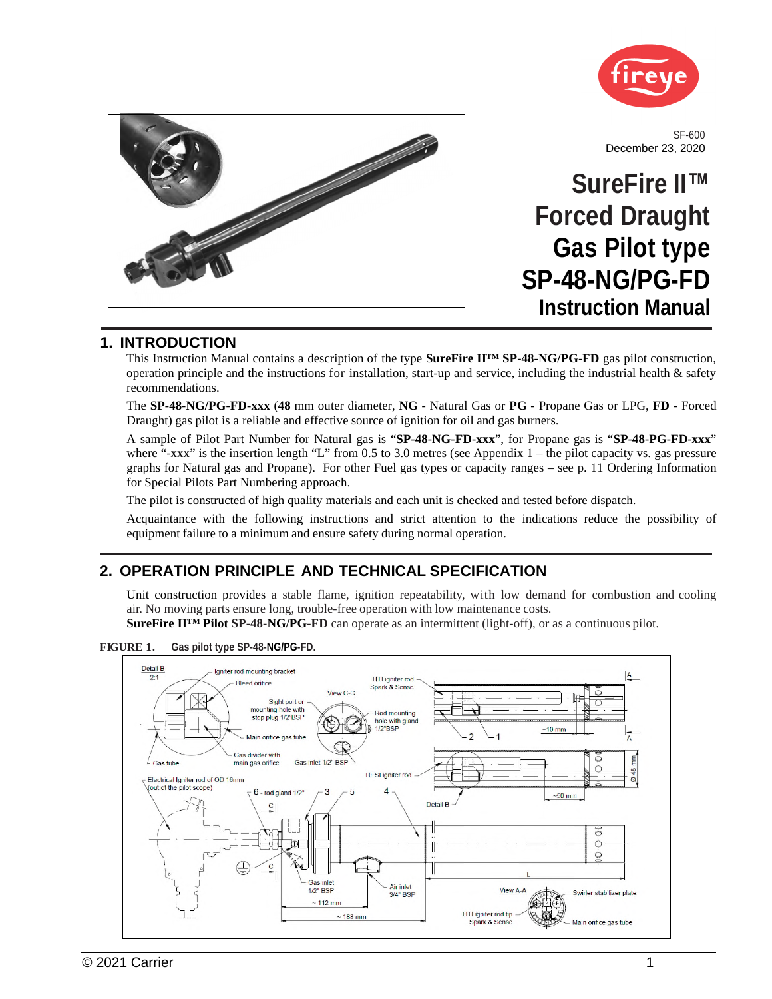



SF-600 December 23, 2020

# **SureFire II™ Forced Draught Gas Pilot type SP-48-NG/PG-FD Instruction Manual**

### **1. INTRODUCTION**

This Instruction Manual contains a description of the type **SureFire II™ SP-48**-**NG/PG**-**FD** gas pilot construction, operation principle and the instructions for installation, start-up and service, including the industrial health & safety recommendations.

The **SP-48**-**NG/PG**-**FD-xxx** (**48** mm outer diameter, **NG** - Natural Gas or **PG** - Propane Gas or LPG, **FD** - Forced Draught) gas pilot is a reliable and effective source of ignition for oil and gas burners.

A sample of Pilot Part Number for Natural gas is "**SP-48-NG-FD-xxx**", for Propane gas is "**SP-48-PG-FD-xxx**" where "-xxx" is the insertion length "L" from 0.5 to 3.0 metres (see Appendix  $1$  – the pilot capacity vs. gas pressure graphs for Natural gas and Propane). For other Fuel gas types or capacity ranges – see p. 11 Ordering Information for Special Pilots Part Numbering approach.

The pilot is constructed of high quality materials and each unit is checked and tested before dispatch.

Acquaintance with the following instructions and strict attention to the indications reduce the possibility of equipment failure to a minimum and ensure safety during normal operation.

### **2. OPERATION PRINCIPLE AND TECHNICAL SPECIFICATION**

Unit construction provides a stable flame, ignition repeatability, with low demand for combustion and cooling air. No moving parts ensure long, trouble-free operation with low maintenance costs.

**SureFire II™ Pilot SP-48-NG/PG-FD** can operate as an intermittent (light-off), or as a continuous pilot.

**FIGURE 1. Gas pilot type SP-48-NG/PG-FD.**

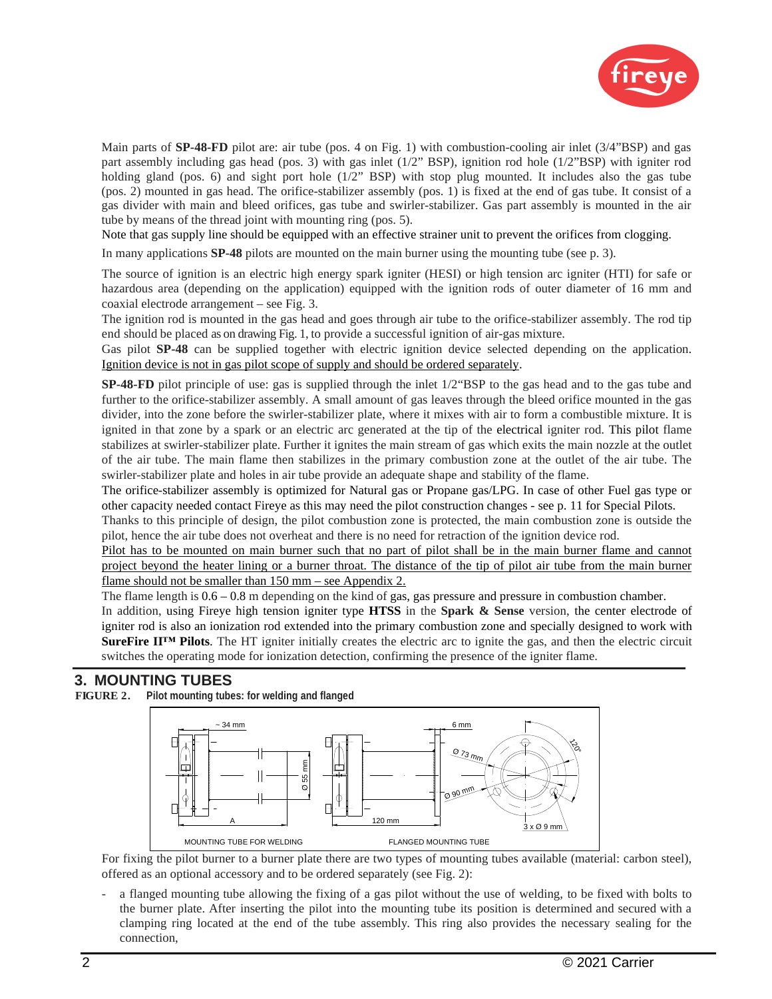

Main parts of **SP-48-FD** pilot are: air tube (pos. 4 on Fig. 1) with combustion-cooling air inlet (3/4"BSP) and gas part assembly including gas head (pos. 3) with gas inlet (1/2" BSP), ignition rod hole (1/2"BSP) with igniter rod holding gland (pos. 6) and sight port hole (1/2" BSP) with stop plug mounted. It includes also the gas tube (pos. 2) mounted in gas head. The orifice-stabilizer assembly (pos. 1) is fixed at the end of gas tube. It consist of a gas divider with main and bleed orifices, gas tube and swirler-stabilizer. Gas part assembly is mounted in the air tube by means of the thread joint with mounting ring (pos. 5).

Note that gas supply line should be equipped with an effective strainer unit to prevent the orifices from clogging.

In many applications **SP-48** pilots are mounted on the main burner using the mounting tube (see p. 3).

The source of ignition is an electric high energy spark igniter (HESI) or high tension arc igniter (HTI) for safe or hazardous area (depending on the application) equipped with the ignition rods of outer diameter of 16 mm and coaxial electrode arrangement – see Fig. 3.

The ignition rod is mounted in the gas head and goes through air tube to the orifice-stabilizer assembly. The rod tip end should be placed as on drawing Fig. 1, to provide a successful ignition of air-gas mixture.

Gas pilot **SP-48** can be supplied together with electric ignition device selected depending on the application. Ignition device is not in gas pilot scope of supply and should be ordered separately.

**SP-48-FD** pilot principle of use: gas is supplied through the inlet 1/2"BSP to the gas head and to the gas tube and further to the orifice-stabilizer assembly. A small amount of gas leaves through the bleed orifice mounted in the gas divider, into the zone before the swirler-stabilizer plate, where it mixes with air to form a combustible mixture. It is ignited in that zone by a spark or an electric arc generated at the tip of the electrical igniter rod. This pilot flame stabilizes at swirler-stabilizer plate. Further it ignites the main stream of gas which exits the main nozzle at the outlet of the air tube. The main flame then stabilizes in the primary combustion zone at the outlet of the air tube. The swirler-stabilizer plate and holes in air tube provide an adequate shape and stability of the flame.

The orifice-stabilizer assembly is optimized for Natural gas or Propane gas/LPG. In case of other Fuel gas type or other capacity needed contact Fireye as this may need the pilot construction changes - see p. 11 for Special Pilots.

Thanks to this principle of design, the pilot combustion zone is protected, the main combustion zone is outside the pilot, hence the air tube does not overheat and there is no need for retraction of the ignition device rod.

Pilot has to be mounted on main burner such that no part of pilot shall be in the main burner flame and cannot project beyond the heater lining or a burner throat. The distance of the tip of pilot air tube from the main burner flame should not be smaller than 150 mm – see Appendix 2.

The flame length is 0.6 – 0.8 m depending on the kind of gas, gas pressure and pressure in combustion chamber.

In addition, using Fireye high tension igniter type **HTSS** in the **Spark & Sense** version, the center electrode of igniter rod is also an ionization rod extended into the primary combustion zone and specially designed to work with **SureFire II™ Pilots**. The HT igniter initially creates the electric arc to ignite the gas, and then the electric circuit switches the operating mode for ionization detection, confirming the presence of the igniter flame.

### **3. MOUNTING TUBES**

#### **FIGURE 2. Pilot mounting tubes: for welding and flanged**



For fixing the pilot burner to a burner plate there are two types of mounting tubes available (material: carbon steel), offered as an optional accessory and to be ordered separately (see Fig. 2):

a flanged mounting tube allowing the fixing of a gas pilot without the use of welding, to be fixed with bolts to the burner plate. After inserting the pilot into the mounting tube its position is determined and secured with a clamping ring located at the end of the tube assembly. This ring also provides the necessary sealing for the connection,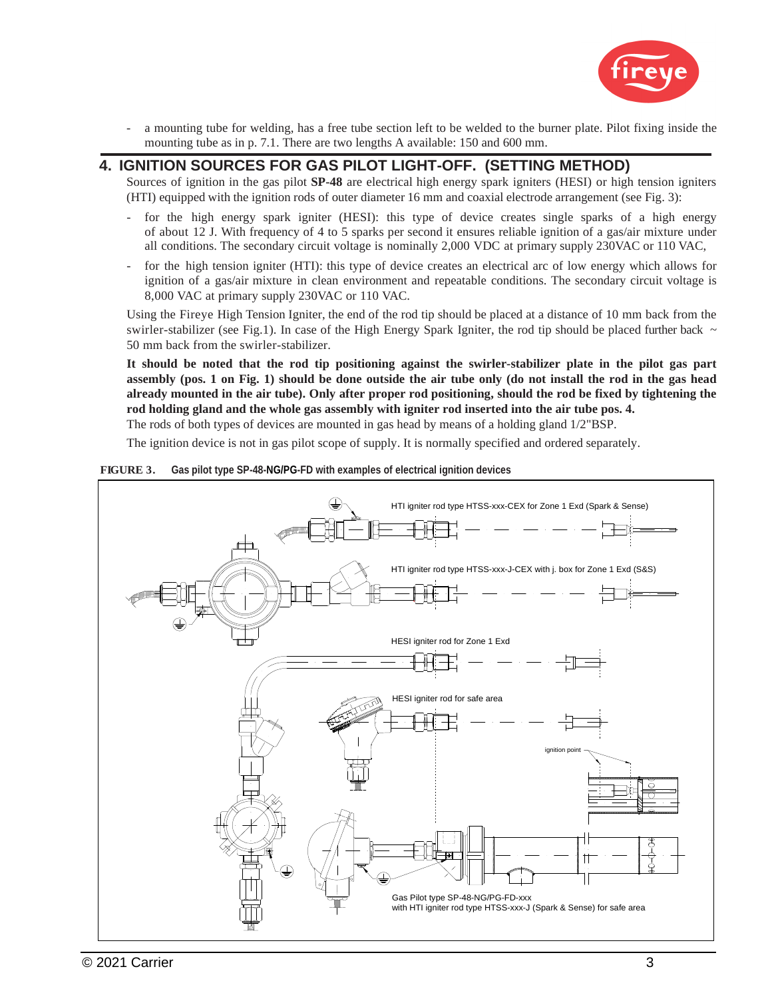

- a mounting tube for welding, has a free tube section left to be welded to the burner plate. Pilot fixing inside the mounting tube as in p. 7.1. There are two lengths A available: 150 and 600 mm.

### **4. IGNITION SOURCES FOR GAS PILOT LIGHT-OFF. (SETTING METHOD)**

Sources of ignition in the gas pilot **SP-48** are electrical high energy spark igniters (HESI) or high tension igniters (HTI) equipped with the ignition rods of outer diameter 16 mm and coaxial electrode arrangement (see Fig. 3):

- for the high energy spark igniter (HESI): this type of device creates single sparks of a high energy of about 12 J. With frequency of 4 to 5 sparks per second it ensures reliable ignition of a gas/air mixture under all conditions. The secondary circuit voltage is nominally 2,000 VDC at primary supply 230VAC or 110 VAC,
- for the high tension igniter (HTI): this type of device creates an electrical arc of low energy which allows for ignition of a gas/air mixture in clean environment and repeatable conditions. The secondary circuit voltage is 8,000 VAC at primary supply 230VAC or 110 VAC.

Using the Fireye High Tension Igniter, the end of the rod tip should be placed at a distance of 10 mm back from the swirler-stabilizer (see Fig.1). In case of the High Energy Spark Igniter, the rod tip should be placed further back  $\sim$ 50 mm back from the swirler-stabilizer.

**It should be noted that the rod tip positioning against the swirler-stabilizer plate in the pilot gas part assembly (pos. 1 on Fig. 1) should be done outside the air tube only (do not install the rod in the gas head already mounted in the air tube). Only after proper rod positioning, should the rod be fixed by tightening the rod holding gland and the whole gas assembly with igniter rod inserted into the air tube pos. 4.** 

The rods of both types of devices are mounted in gas head by means of a holding gland 1/2"BSP.

The ignition device is not in gas pilot scope of supply. It is normally specified and ordered separately.



#### **FIGURE 3. Gas pilot type SP-48-NG/PG-FD with examples of electrical ignition devices**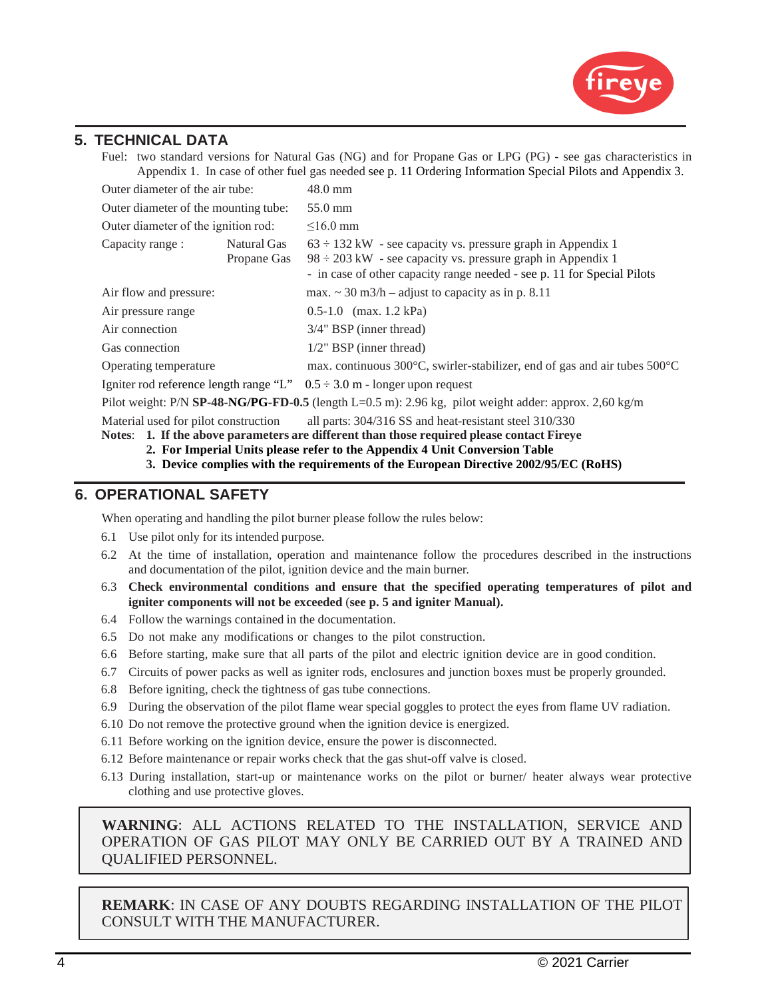

### **5. TECHNICAL DATA**

Fuel: two standard versions for Natural Gas (NG) and for Propane Gas or LPG (PG) - see gas characteristics in Appendix 1. In case of other fuel gas needed see p. 11 Ordering Information Special Pilots and Appendix 3.

| Outer diameter of the air tube:                                                                       |                            | $48.0 \text{ mm}$                                                                                                                                                                                               |  |
|-------------------------------------------------------------------------------------------------------|----------------------------|-----------------------------------------------------------------------------------------------------------------------------------------------------------------------------------------------------------------|--|
| Outer diameter of the mounting tube:                                                                  |                            | 55.0 mm                                                                                                                                                                                                         |  |
| Outer diameter of the ignition rod:                                                                   |                            | $<16.0$ mm                                                                                                                                                                                                      |  |
| Capacity range:                                                                                       | Natural Gas<br>Propane Gas | $63 \div 132$ kW - see capacity vs. pressure graph in Appendix 1<br>$98 \div 203$ kW - see capacity vs. pressure graph in Appendix 1<br>- in case of other capacity range needed - see p. 11 for Special Pilots |  |
| Air flow and pressure:                                                                                |                            | max. $\sim$ 30 m3/h – adjust to capacity as in p. 8.11                                                                                                                                                          |  |
| Air pressure range                                                                                    | $0.5-1.0$ (max. 1.2 kPa)   |                                                                                                                                                                                                                 |  |
| Air connection                                                                                        | 3/4" BSP (inner thread)    |                                                                                                                                                                                                                 |  |
| $1/2$ " BSP (inner thread)<br>Gas connection                                                          |                            |                                                                                                                                                                                                                 |  |
| Operating temperature                                                                                 |                            | max. continuous 300°C, swirler-stabilizer, end of gas and air tubes 500°C                                                                                                                                       |  |
| Igniter rod reference length range "L" $0.5 \div 3.0$ m - longer upon request                         |                            |                                                                                                                                                                                                                 |  |
| Pilot weight: P/N SP-48-NG/PG-FD-0.5 (length L=0.5 m): 2.96 kg, pilot weight adder: approx. 2,60 kg/m |                            |                                                                                                                                                                                                                 |  |

Material used for pilot construction all parts: 304/316 SS and heat-resistant steel 310/330

**Notes**: **1. If the above parameters are different than those required please contact Fireye** 

- **2. For Imperial Units please refer to the Appendix 4 Unit Conversion Table**
- **3. Device complies with the requirements of the European Directive 2002/95/EC (RoHS)**

### **6. OPERATIONAL SAFETY**

When operating and handling the pilot burner please follow the rules below:

- 6.1 Use pilot only for its intended purpose.
- 6.2 At the time of installation, operation and maintenance follow the procedures described in the instructions and documentation of the pilot, ignition device and the main burner.
- 6.3 **Check environmental conditions and ensure that the specified operating temperatures of pilot and igniter components will not be exceeded** (**see p. 5 and igniter Manual).**
- 6.4 Follow the warnings contained in the documentation.
- 6.5 Do not make any modifications or changes to the pilot construction.
- 6.6 Before starting, make sure that all parts of the pilot and electric ignition device are in good condition.
- 6.7 Circuits of power packs as well as igniter rods, enclosures and junction boxes must be properly grounded.
- 6.8 Before igniting, check the tightness of gas tube connections.
- 6.9 During the observation of the pilot flame wear special goggles to protect the eyes from flame UV radiation.
- 6.10 Do not remove the protective ground when the ignition device is energized.
- 6.11 Before working on the ignition device, ensure the power is disconnected.
- 6.12 Before maintenance or repair works check that the gas shut-off valve is closed.
- 6.13 During installation, start-up or maintenance works on the pilot or burner/ heater always wear protective clothing and use protective gloves.

**WARNING**: ALL ACTIONS RELATED TO THE INSTALLATION, SERVICE AND OPERATION OF GAS PILOT MAY ONLY BE CARRIED OUT BY A TRAINED AND QUALIFIED PERSONNEL.

**REMARK**: IN CASE OF ANY DOUBTS REGARDING INSTALLATION OF THE PILOT CONSULT WITH THE MANUFACTURER.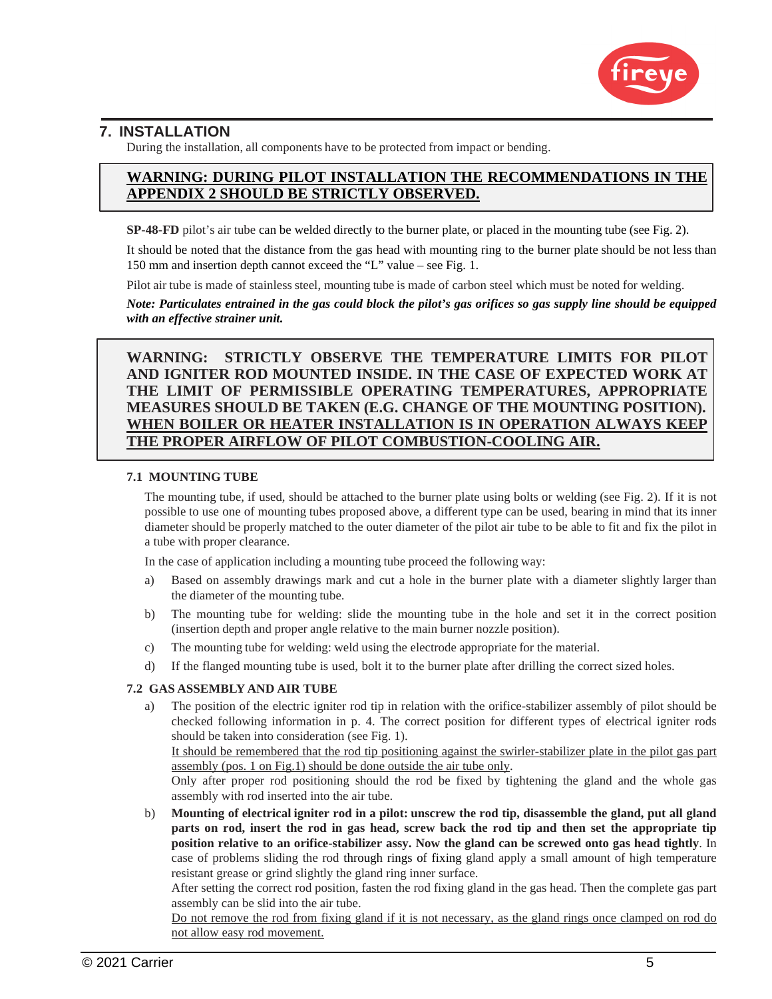

### **7. INSTALLATION**

During the installation, all components have to be protected from impact or bending.

### **WARNING: DURING PILOT INSTALLATION THE RECOMMENDATIONS IN THE APPENDIX 2 SHOULD BE STRICTLY OBSERVED.**

**SP-48-FD** pilot's air tube can be welded directly to the burner plate, or placed in the mounting tube (see Fig. 2).

It should be noted that the distance from the gas head with mounting ring to the burner plate should be not less than 150 mm and insertion depth cannot exceed the "L" value – see Fig. 1.

Pilot air tube is made of stainless steel, mounting tube is made of carbon steel which must be noted for welding.

*Note: Particulates entrained in the gas could block the pilot's gas orifices so gas supply line should be equipped with an effective strainer unit.* 

**WARNING: STRICTLY OBSERVE THE TEMPERATURE LIMITS FOR PILOT AND IGNITER ROD MOUNTED INSIDE. IN THE CASE OF EXPECTED WORK AT THE LIMIT OF PERMISSIBLE OPERATING TEMPERATURES, APPROPRIATE MEASURES SHOULD BE TAKEN (E.G. CHANGE OF THE MOUNTING POSITION). WHEN BOILER OR HEATER INSTALLATION IS IN OPERATION ALWAYS KEEP THE PROPER AIRFLOW OF PILOT COMBUSTION-COOLING AIR.**

#### **7.1 MOUNTING TUBE**

The mounting tube, if used, should be attached to the burner plate using bolts or welding (see Fig. 2). If it is not possible to use one of mounting tubes proposed above, a different type can be used, bearing in mind that its inner diameter should be properly matched to the outer diameter of the pilot air tube to be able to fit and fix the pilot in a tube with proper clearance.

In the case of application including a mounting tube proceed the following way:

- a) Based on assembly drawings mark and cut a hole in the burner plate with a diameter slightly larger than the diameter of the mounting tube.
- b) The mounting tube for welding: slide the mounting tube in the hole and set it in the correct position (insertion depth and proper angle relative to the main burner nozzle position).
- c) The mounting tube for welding: weld using the electrode appropriate for the material.
- d) If the flanged mounting tube is used, bolt it to the burner plate after drilling the correct sized holes.

#### **7.2 GAS ASSEMBLY AND AIR TUBE**

a) The position of the electric igniter rod tip in relation with the orifice-stabilizer assembly of pilot should be checked following information in p. 4. The correct position for different types of electrical igniter rods should be taken into consideration (see Fig. 1).

It should be remembered that the rod tip positioning against the swirler-stabilizer plate in the pilot gas part assembly (pos. 1 on Fig.1) should be done outside the air tube only.

Only after proper rod positioning should the rod be fixed by tightening the gland and the whole gas assembly with rod inserted into the air tube.

b) **Mounting of electrical igniter rod in a pilot: unscrew the rod tip, disassemble the gland, put all gland parts on rod, insert the rod in gas head, screw back the rod tip and then set the appropriate tip position relative to an orifice-stabilizer assy. Now the gland can be screwed onto gas head tightly**. In case of problems sliding the rod through rings of fixing gland apply a small amount of high temperature resistant grease or grind slightly the gland ring inner surface.

After setting the correct rod position, fasten the rod fixing gland in the gas head. Then the complete gas part assembly can be slid into the air tube.

Do not remove the rod from fixing gland if it is not necessary, as the gland rings once clamped on rod do not allow easy rod movement.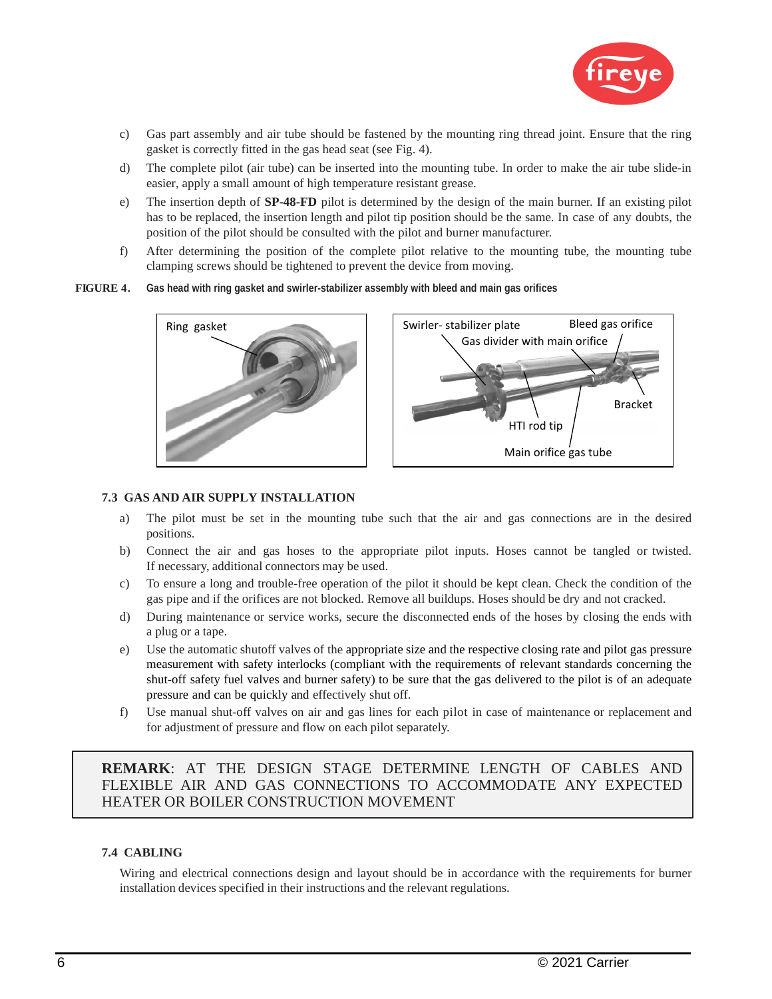

- c) Gas part assembly and air tube should be fastened by the mounting ring thread joint. Ensure that the ring gasket is correctly fitted in the gas head seat (see Fig. 4).
- d) The complete pilot (air tube) can be inserted into the mounting tube. In order to make the air tube slide-in easier, apply a small amount of high temperature resistant grease.
- e) The insertion depth of **SP-48-FD** pilot is determined by the design of the main burner. If an existing pilot has to be replaced, the insertion length and pilot tip position should be the same. In case of any doubts, the position of the pilot should be consulted with the pilot and burner manufacturer.
- f) After determining the position of the complete pilot relative to the mounting tube, the mounting tube clamping screws should be tightened to prevent the device from moving.

#### **FIGURE 4. Gas head with ring gasket and swirler-stabilizer assembly with bleed and main gas orifices**





#### **7.3 GAS AND AIR SUPPLY INSTALLATION**

- a) The pilot must be set in the mounting tube such that the air and gas connections are in the desired positions.
- b) Connect the air and gas hoses to the appropriate pilot inputs. Hoses cannot be tangled or twisted. If necessary, additional connectors may be used.
- c) To ensure a long and trouble-free operation of the pilot it should be kept clean. Check the condition of the gas pipe and if the orifices are not blocked. Remove all buildups. Hoses should be dry and not cracked.
- d) During maintenance or service works, secure the disconnected ends of the hoses by closing the ends with a plug or a tape.
- e) Use the automatic shutoff valves of the appropriate size and the respective closing rate and pilot gas pressure measurement with safety interlocks (compliant with the requirements of relevant standards concerning the shut-off safety fuel valves and burner safety) to be sure that the gas delivered to the pilot is of an adequate pressure and can be quickly and effectively shut off.
- f) Use manual shut-off valves on air and gas lines for each pilot in case of maintenance or replacement and for adjustment of pressure and flow on each pilot separately.

**REMARK**: AT THE DESIGN STAGE DETERMINE LENGTH OF CABLES AND FLEXIBLE AIR AND GAS CONNECTIONS TO ACCOMMODATE ANY EXPECTED HEATER OR BOILER CONSTRUCTION MOVEMENT

#### **7.4 CABLING**

Wiring and electrical connections design and layout should be in accordance with the requirements for burner installation devices specified in their instructions and the relevant regulations.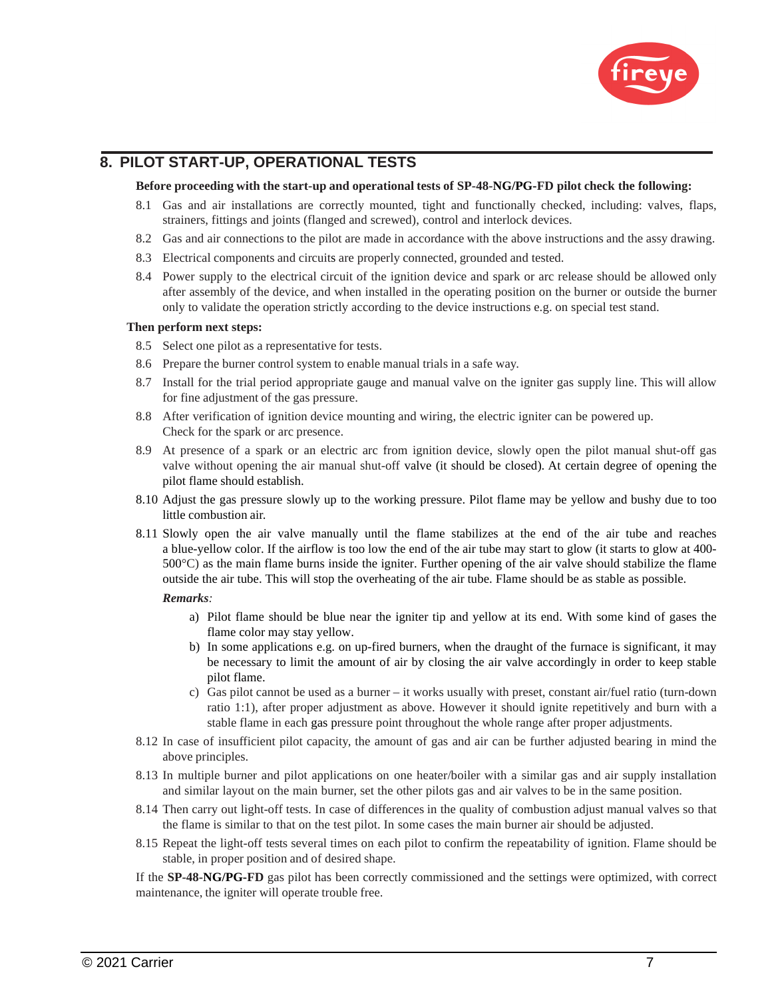

### **8. PILOT START-UP, OPERATIONAL TESTS**

#### **Before proceeding with the start-up and operational tests of SP-48-NG/PG-FD pilot check the following:**

- 8.1 Gas and air installations are correctly mounted, tight and functionally checked, including: valves, flaps, strainers, fittings and joints (flanged and screwed), control and interlock devices.
- 8.2 Gas and air connections to the pilot are made in accordance with the above instructions and the assy drawing.
- 8.3 Electrical components and circuits are properly connected, grounded and tested.
- 8.4 Power supply to the electrical circuit of the ignition device and spark or arc release should be allowed only after assembly of the device, and when installed in the operating position on the burner or outside the burner only to validate the operation strictly according to the device instructions e.g. on special test stand.

#### **Then perform next steps:**

- 8.5 Select one pilot as a representative for tests.
- 8.6 Prepare the burner control system to enable manual trials in a safe way.
- 8.7 Install for the trial period appropriate gauge and manual valve on the igniter gas supply line. This will allow for fine adjustment of the gas pressure.
- 8.8 After verification of ignition device mounting and wiring, the electric igniter can be powered up. Check for the spark or arc presence.
- 8.9 At presence of a spark or an electric arc from ignition device, slowly open the pilot manual shut-off gas valve without opening the air manual shut-off valve (it should be closed). At certain degree of opening the pilot flame should establish.
- 8.10 Adjust the gas pressure slowly up to the working pressure. Pilot flame may be yellow and bushy due to too little combustion air.
- 8.11 Slowly open the air valve manually until the flame stabilizes at the end of the air tube and reaches a blue-yellow color. If the airflow is too low the end of the air tube may start to glow (it starts to glow at 400- 500°C) as the main flame burns inside the igniter. Further opening of the air valve should stabilize the flame outside the air tube. This will stop the overheating of the air tube. Flame should be as stable as possible.

#### *Remarks:*

- a) Pilot flame should be blue near the igniter tip and yellow at its end. With some kind of gases the flame color may stay yellow.
- b) In some applications e.g. on up-fired burners, when the draught of the furnace is significant, it may be necessary to limit the amount of air by closing the air valve accordingly in order to keep stable pilot flame.
- c) Gas pilot cannot be used as a burner it works usually with preset, constant air/fuel ratio (turn-down ratio 1:1), after proper adjustment as above. However it should ignite repetitively and burn with a stable flame in each gas pressure point throughout the whole range after proper adjustments.
- 8.12 In case of insufficient pilot capacity, the amount of gas and air can be further adjusted bearing in mind the above principles.
- 8.13 In multiple burner and pilot applications on one heater/boiler with a similar gas and air supply installation and similar layout on the main burner, set the other pilots gas and air valves to be in the same position.
- 8.14 Then carry out light-off tests. In case of differences in the quality of combustion adjust manual valves so that the flame is similar to that on the test pilot. In some cases the main burner air should be adjusted.
- 8.15 Repeat the light-off tests several times on each pilot to confirm the repeatability of ignition. Flame should be stable, in proper position and of desired shape.

If the **SP-48-NG/PG-FD** gas pilot has been correctly commissioned and the settings were optimized, with correct maintenance, the igniter will operate trouble free.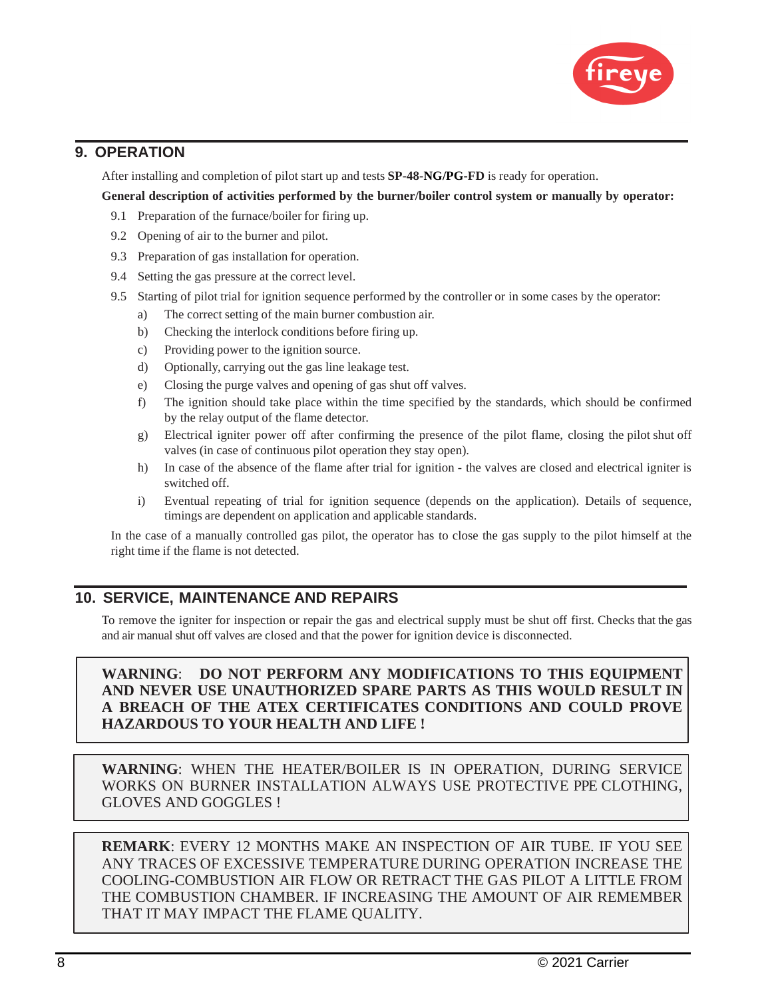

### **9. OPERATION**

After installing and completion of pilot start up and tests **SP-48-NG/PG-FD** is ready for operation.

#### **General description of activities performed by the burner/boiler control system or manually by operator:**

- 9.1 Preparation of the furnace/boiler for firing up.
- 9.2 Opening of air to the burner and pilot.
- 9.3 Preparation of gas installation for operation.
- 9.4 Setting the gas pressure at the correct level.
- 9.5 Starting of pilot trial for ignition sequence performed by the controller or in some cases by the operator:
	- a) The correct setting of the main burner combustion air.
	- b) Checking the interlock conditions before firing up.
	- c) Providing power to the ignition source.
	- d) Optionally, carrying out the gas line leakage test.
	- e) Closing the purge valves and opening of gas shut off valves.
	- f) The ignition should take place within the time specified by the standards, which should be confirmed by the relay output of the flame detector.
	- g) Electrical igniter power off after confirming the presence of the pilot flame, closing the pilot shut off valves (in case of continuous pilot operation they stay open).
	- h) In case of the absence of the flame after trial for ignition the valves are closed and electrical igniter is switched off.
	- i) Eventual repeating of trial for ignition sequence (depends on the application). Details of sequence, timings are dependent on application and applicable standards.

In the case of a manually controlled gas pilot, the operator has to close the gas supply to the pilot himself at the right time if the flame is not detected.

### **10. SERVICE, MAINTENANCE AND REPAIRS**

To remove the igniter for inspection or repair the gas and electrical supply must be shut off first. Checks that the gas and air manual shut off valves are closed and that the power for ignition device is disconnected.

### **WARNING**: **DO NOT PERFORM ANY MODIFICATIONS TO THIS EQUIPMENT AND NEVER USE UNAUTHORIZED SPARE PARTS AS THIS WOULD RESULT IN A BREACH OF THE ATEX CERTIFICATES CONDITIONS AND COULD PROVE HAZARDOUS TO YOUR HEALTH AND LIFE !**

**WARNING**: WHEN THE HEATER/BOILER IS IN OPERATION, DURING SERVICE WORKS ON BURNER INSTALLATION ALWAYS USE PROTECTIVE PPE CLOTHING, GLOVES AND GOGGLES !

**REMARK**: EVERY 12 MONTHS MAKE AN INSPECTION OF AIR TUBE. IF YOU SEE ANY TRACES OF EXCESSIVE TEMPERATURE DURING OPERATION INCREASE THE COOLING-COMBUSTION AIR FLOW OR RETRACT THE GAS PILOT A LITTLE FROM THE COMBUSTION CHAMBER. IF INCREASING THE AMOUNT OF AIR REMEMBER THAT IT MAY IMPACT THE FLAME QUALITY.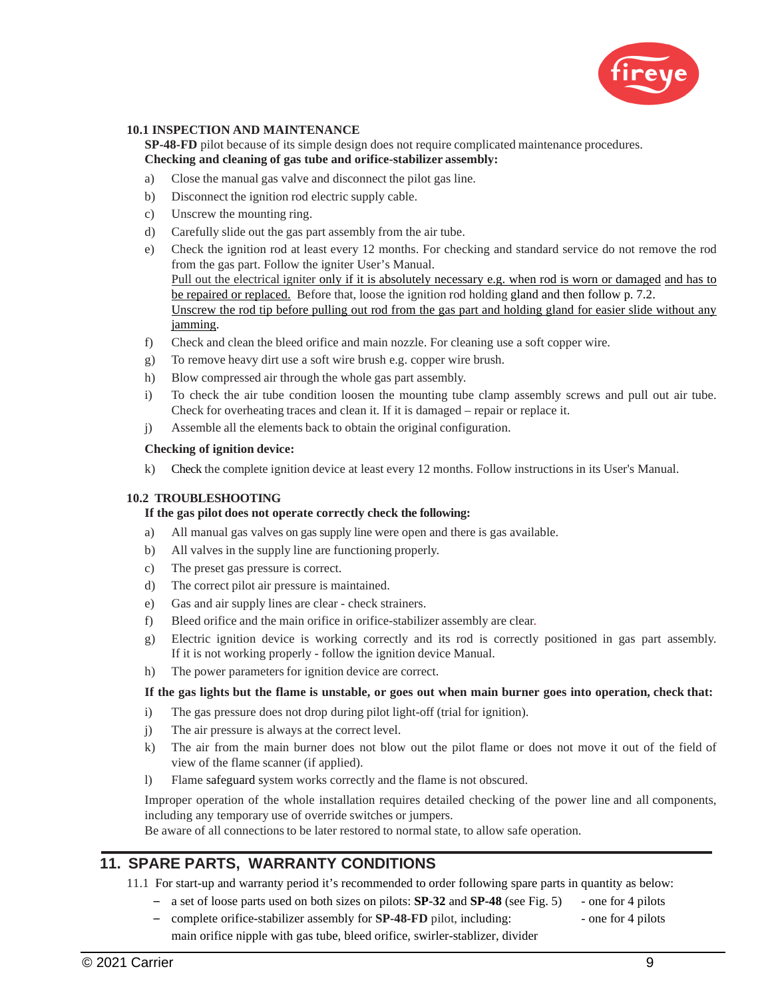

#### **10.1 INSPECTION AND MAINTENANCE**

**SP-48-FD** pilot because of its simple design does not require complicated maintenance procedures. **Checking and cleaning of gas tube and orifice-stabilizer assembly:**

- a) Close the manual gas valve and disconnect the pilot gas line.
- b) Disconnect the ignition rod electric supply cable.
- c) Unscrew the mounting ring.
- d) Carefully slide out the gas part assembly from the air tube.
- e) Check the ignition rod at least every 12 months. For checking and standard service do not remove the rod from the gas part. Follow the igniter User's Manual. Pull out the electrical igniter only if it is absolutely necessary e.g. when rod is worn or damaged and has to be repaired or replaced. Before that, loose the ignition rod holding gland and then follow p. 7.2. Unscrew the rod tip before pulling out rod from the gas part and holding gland for easier slide without any jamming.
- f) Check and clean the bleed orifice and main nozzle. For cleaning use a soft copper wire.
- g) To remove heavy dirt use a soft wire brush e.g. copper wire brush.
- h) Blow compressed air through the whole gas part assembly.
- i) To check the air tube condition loosen the mounting tube clamp assembly screws and pull out air tube. Check for overheating traces and clean it. If it is damaged – repair or replace it.
- j) Assemble all the elements back to obtain the original configuration.

#### **Checking of ignition device:**

k) Check the complete ignition device at least every 12 months. Follow instructions in its User's Manual.

#### **10.2 TROUBLESHOOTING**

#### **If the gas pilot does not operate correctly check the following:**

- a) All manual gas valves on gas supply line were open and there is gas available.
- b) All valves in the supply line are functioning properly.
- c) The preset gas pressure is correct.
- d) The correct pilot air pressure is maintained.
- e) Gas and air supply lines are clear check strainers.
- f) Bleed orifice and the main orifice in orifice-stabilizer assembly are clear.
- g) Electric ignition device is working correctly and its rod is correctly positioned in gas part assembly. If it is not working properly - follow the ignition device Manual.
- h) The power parameters for ignition device are correct.

#### **If the gas lights but the flame is unstable, or goes out when main burner goes into operation, check that:**

- i) The gas pressure does not drop during pilot light-off (trial for ignition).
- j) The air pressure is always at the correct level.
- k) The air from the main burner does not blow out the pilot flame or does not move it out of the field of view of the flame scanner (if applied).
- l) Flame safeguard system works correctly and the flame is not obscured.

Improper operation of the whole installation requires detailed checking of the power line and all components, including any temporary use of override switches or jumpers.

Be aware of all connections to be later restored to normal state, to allow safe operation.

### **11. SPARE PARTS, WARRANTY CONDITIONS**

11.1 For start-up and warranty period it's recommended to order following spare parts in quantity as below:

- a set of loose parts used on both sizes on pilots: **SP-32** and **SP-48** (see Fig. 5) one for 4 pilots
- complete orifice-stabilizer assembly for **SP-48-FD** pilot, including: one for 4 pilots main orifice nipple with gas tube, bleed orifice, swirler-stablizer, divider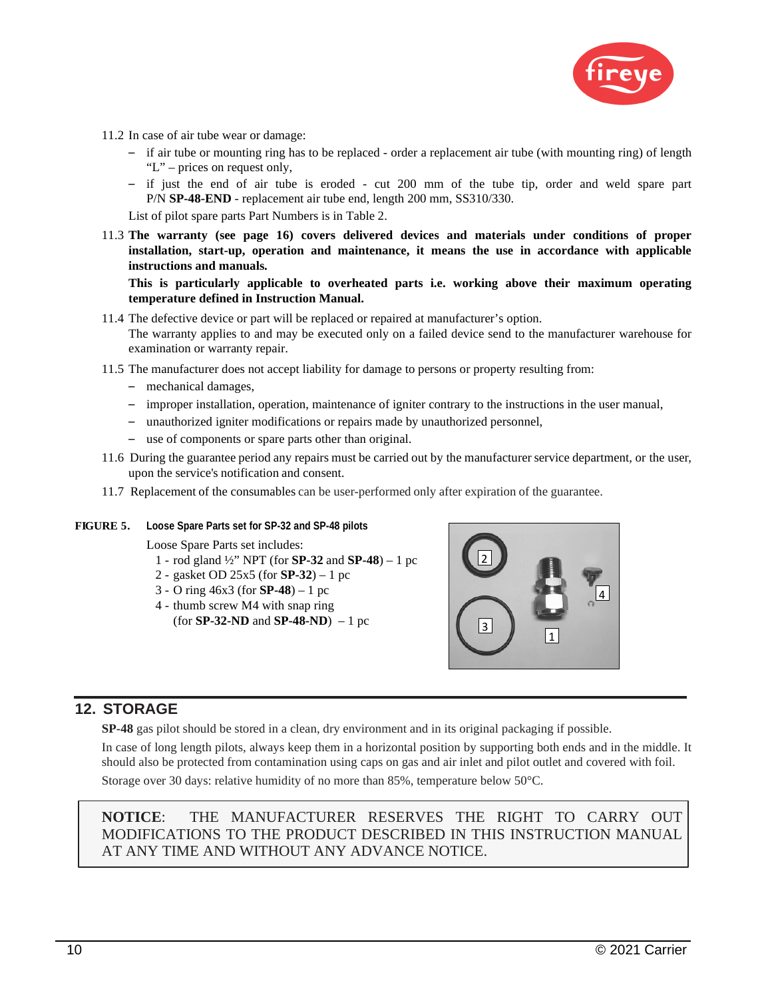

- 11.2 In case of air tube wear or damage:
	- if air tube or mounting ring has to be replaced order a replacement air tube (with mounting ring) of length "L" – prices on request only,
	- if just the end of air tube is eroded cut 200 mm of the tube tip, order and weld spare part P/N **SP-48-END** - replacement air tube end, length 200 mm, SS310/330.

List of pilot spare parts Part Numbers is in Table 2.

11.3 **The warranty (see page 16) covers delivered devices and materials under conditions of proper installation, start-up, operation and maintenance, it means the use in accordance with applicable instructions and manuals.** 

**This is particularly applicable to overheated parts i.e. working above their maximum operating temperature defined in Instruction Manual.**

- 11.4 The defective device or part will be replaced or repaired at manufacturer's option. The warranty applies to and may be executed only on a failed device send to the manufacturer warehouse for examination or warranty repair.
- 11.5 The manufacturer does not accept liability for damage to persons or property resulting from:
	- mechanical damages,
	- improper installation, operation, maintenance of igniter contrary to the instructions in the user manual,
	- unauthorized igniter modifications or repairs made by unauthorized personnel,
	- use of components or spare parts other than original.
- 11.6 During the guarantee period any repairs must be carried out by the manufacturer service department, or the user, upon the service's notification and consent.
- 11.7 Replacement of the consumables can be user-performed only after expiration of the guarantee.

#### **FIGURE 5. Loose Spare Parts set for SP-32 and SP-48 pilots**

Loose Spare Parts set includes:

- 1 rod gland ½" NPT (for **SP-32** and **SP-48**) 1 pc
- 2 gasket OD 25x5 (for **SP-32**) 1 pc
- 3 O ring 46x3 (for **SP-48**) 1 pc
- 4 thumb screw M4 with snap ring (for **SP-32-ND** and **SP-48-ND**) – 1 pc



### **12. STORAGE**

**SP-48** gas pilot should be stored in a clean, dry environment and in its original packaging if possible.

In case of long length pilots, always keep them in a horizontal position by supporting both ends and in the middle. It should also be protected from contamination using caps on gas and air inlet and pilot outlet and covered with foil.

Storage over 30 days: relative humidity of no more than 85%, temperature below 50°C.

**NOTICE**: THE MANUFACTURER RESERVES THE RIGHT TO CARRY OUT MODIFICATIONS TO THE PRODUCT DESCRIBED IN THIS INSTRUCTION MANUAL AT ANY TIME AND WITHOUT ANY ADVANCE NOTICE.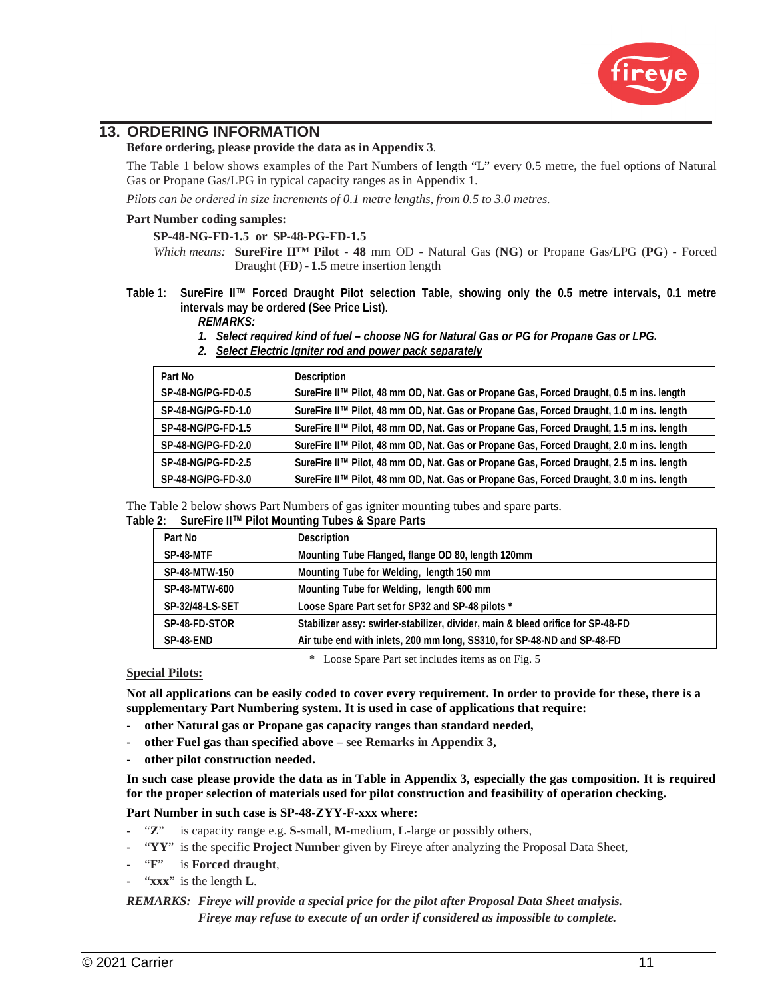

### **13. ORDERING INFORMATION**

#### **Before ordering, please provide the data as in Appendix 3**.

The Table 1 below shows examples of the Part Numbers of length "L" every 0.5 metre, the fuel options of Natural Gas or Propane Gas/LPG in typical capacity ranges as in Appendix 1.

*Pilots can be ordered in size increments of 0.1 metre lengths, from 0.5 to 3.0 metres.*

#### **Part Number coding samples:**

#### **SP-48-NG-FD-1.5 or SP-48-PG-FD-1.5**

*Which means:* **SureFire II™ Pilot** - **48** mm OD - Natural Gas (**NG**) or Propane Gas/LPG (**PG**) - Forced Draught (**FD**) - **1.5** metre insertion length

### **Table 1: SureFire II™ Forced Draught Pilot selection Table, showing only the 0.5 metre intervals, 0.1 metre intervals may be ordered (See Price List).**

- *REMARKS:*
- *1. Select required kind of fuel choose NG for Natural Gas or PG for Propane Gas or LPG.*
- *2. Select Electric Igniter rod and power pack separately*

| Part No                   | <b>Description</b>                                                                       |
|---------------------------|------------------------------------------------------------------------------------------|
| SP-48-NG/PG-FD-0.5        | SureFire II™ Pilot, 48 mm OD, Nat. Gas or Propane Gas, Forced Draught, 0.5 m ins. length |
| SP-48-NG/PG-FD-1.0        | SureFire II™ Pilot, 48 mm OD, Nat. Gas or Propane Gas, Forced Draught, 1.0 m ins. length |
| SP-48-NG/PG-FD-1.5        | SureFire II™ Pilot, 48 mm OD, Nat. Gas or Propane Gas, Forced Draught, 1.5 m ins. length |
| <b>SP-48-NG/PG-FD-2.0</b> | SureFire II™ Pilot, 48 mm OD, Nat. Gas or Propane Gas, Forced Draught, 2.0 m ins. length |
| <b>SP-48-NG/PG-FD-2.5</b> | SureFire II™ Pilot, 48 mm OD, Nat. Gas or Propane Gas, Forced Draught, 2.5 m ins. length |
| SP-48-NG/PG-FD-3.0        | SureFire II™ Pilot, 48 mm OD, Nat. Gas or Propane Gas, Forced Draught, 3.0 m ins. length |

The Table 2 below shows Part Numbers of gas igniter mounting tubes and spare parts.

|  |  | Table 2: SureFire II™ Pilot Mounting Tubes & Spare Parts |
|--|--|----------------------------------------------------------|
|--|--|----------------------------------------------------------|

| Part No              | <b>Description</b>                                                              |  |
|----------------------|---------------------------------------------------------------------------------|--|
| SP-48-MTF            | Mounting Tube Flanged, flange OD 80, length 120mm                               |  |
| <b>SP-48-MTW-150</b> | Mounting Tube for Welding, length 150 mm                                        |  |
| <b>SP-48-MTW-600</b> | Mounting Tube for Welding, length 600 mm                                        |  |
| SP-32/48-LS-SET      | Loose Spare Part set for SP32 and SP-48 pilots *                                |  |
| SP-48-FD-STOR        | Stabilizer assy: swirler-stabilizer, divider, main & bleed orifice for SP-48-FD |  |
| SP-48-END            | Air tube end with inlets, 200 mm long, SS310, for SP-48-ND and SP-48-FD         |  |

\* Loose Spare Part set includes items as on Fig. 5

#### **Special Pilots:**

**Not all applications can be easily coded to cover every requirement. In order to provide for these, there is a supplementary Part Numbering system. It is used in case of applications that require:** 

- **other Natural gas or Propane gas capacity ranges than standard needed,**
- **other Fuel gas than specified above see Remarks in Appendix 3,**
- **other pilot construction needed.**

**In such case please provide the data as in Table in Appendix 3, especially the gas composition. It is required for the proper selection of materials used for pilot construction and feasibility of operation checking.** 

**Part Number in such case is SP-48-ZYY-F-xxx where:** 

- "**Z**" is capacity range e.g. **S**-small, **M**-medium, **L**-large or possibly others,
- "**YY**" is the specific **Project Number** given by Fireye after analyzing the Proposal Data Sheet,
- "**F**" is **Forced draught**,
- "**xxx**" is the length **L**.

### *REMARKS: Fireye will provide a special price for the pilot after Proposal Data Sheet analysis. Fireye may refuse to execute of an order if considered as impossible to complete.*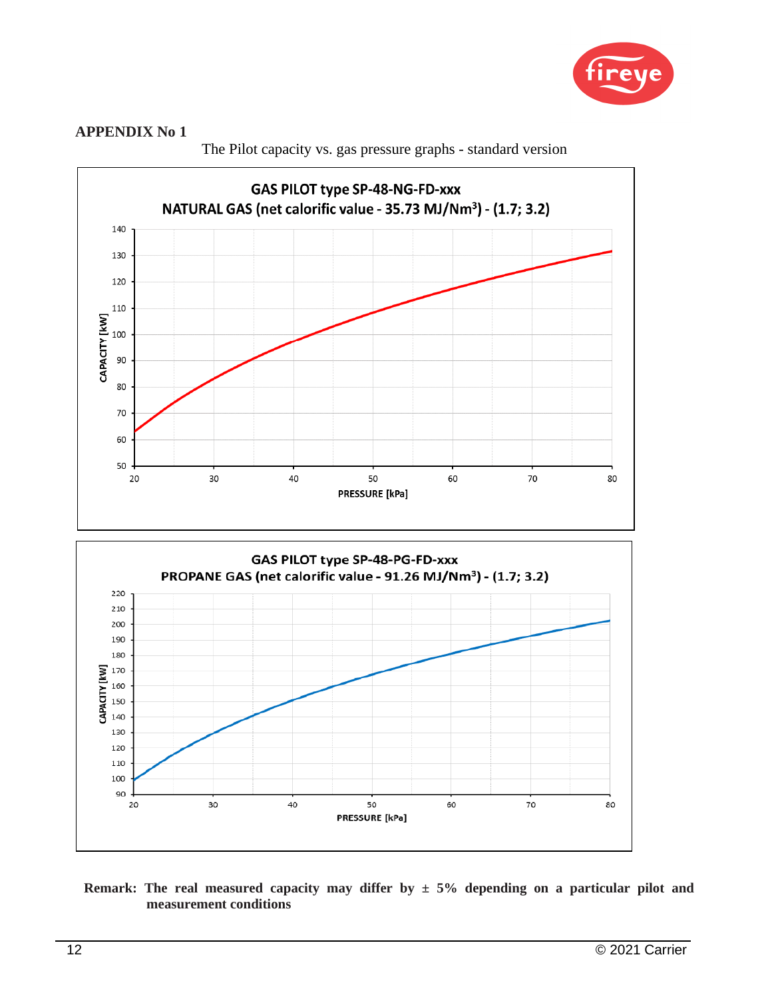



The Pilot capacity vs. gas pressure graphs - standard version



**Remark:** The real measured capacity may differ by  $\pm$  5% depending on a particular pilot and **measurement conditions**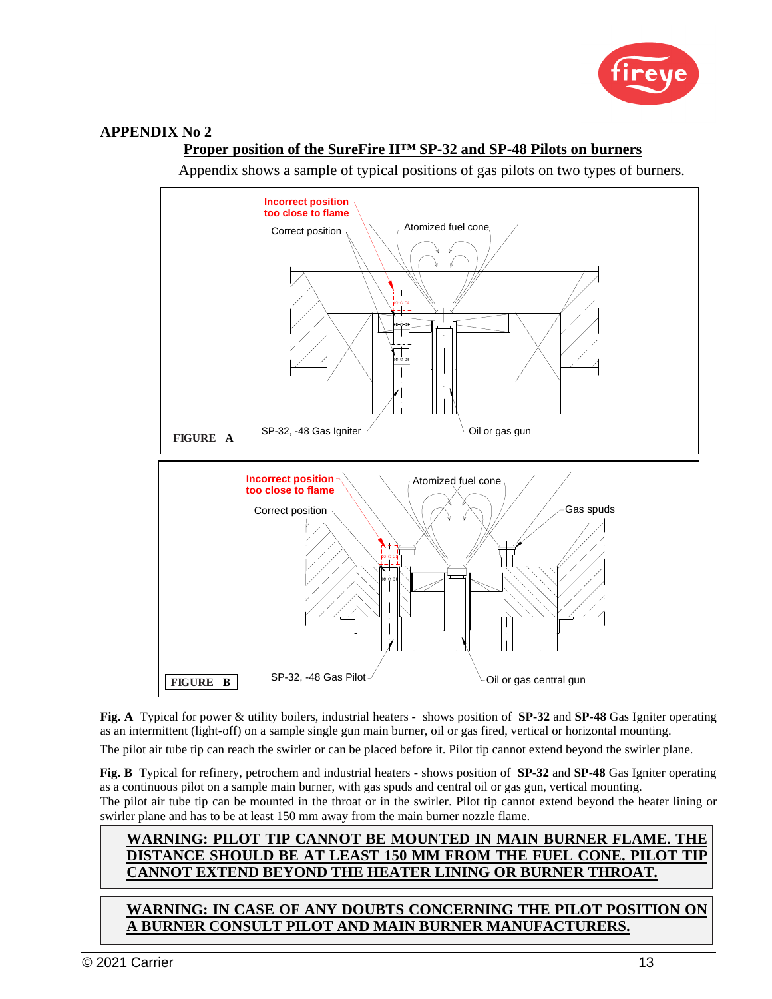

### **Proper position of the SureFire II™ SP-32 and SP-48 Pilots on burners**

Appendix shows a sample of typical positions of gas pilots on two types of burners.



**Fig. A** Typical for power & utility boilers, industrial heaters - shows position of **SP-32** and **SP-48** Gas Igniter operating as an intermittent (light-off) on a sample single gun main burner, oil or gas fired, vertical or horizontal mounting.

The pilot air tube tip can reach the swirler or can be placed before it. Pilot tip cannot extend beyond the swirler plane.

**Fig. B** Typical for refinery, petrochem and industrial heaters - shows position of **SP-32** and **SP-48** Gas Igniter operating as a continuous pilot on a sample main burner, with gas spuds and central oil or gas gun, vertical mounting. The pilot air tube tip can be mounted in the throat or in the swirler. Pilot tip cannot extend beyond the heater lining or swirler plane and has to be at least 150 mm away from the main burner nozzle flame.

### **WARNING: PILOT TIP CANNOT BE MOUNTED IN MAIN BURNER FLAME. THE DISTANCE SHOULD BE AT LEAST 150 MM FROM THE FUEL CONE. PILOT TIP CANNOT EXTEND BEYOND THE HEATER LINING OR BURNER THROAT.**

**WARNING: IN CASE OF ANY DOUBTS CONCERNING THE PILOT POSITION ON A BURNER CONSULT PILOT AND MAIN BURNER MANUFACTURERS.**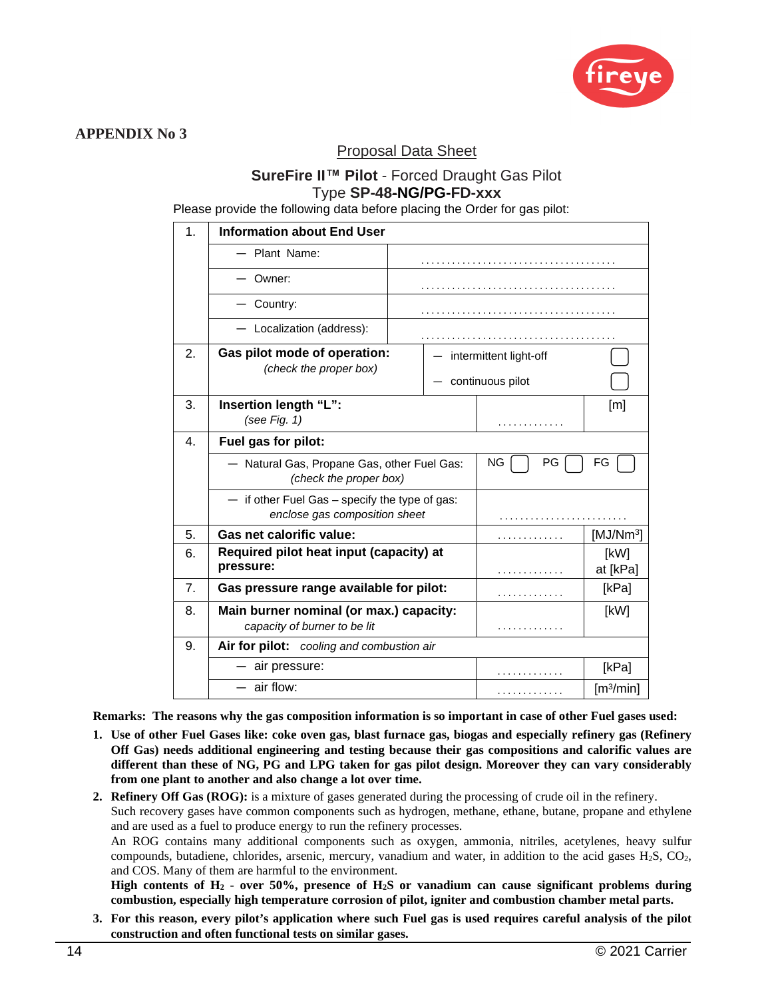

### Proposal Data Sheet

### **SureFire II™ Pilot** - Forced Draught Gas Pilot Type **SP-48-NG/PG-FD-xxx**

Please provide the following data before placing the Order for gas pilot:

| 1.             | <b>Information about End User</b>                                                   |  |                          |                       |
|----------------|-------------------------------------------------------------------------------------|--|--------------------------|-----------------------|
|                | Plant Name:                                                                         |  |                          |                       |
|                | Owner:                                                                              |  |                          |                       |
|                | Country:                                                                            |  |                          |                       |
|                | - Localization (address):                                                           |  |                          |                       |
| 2.             | Gas pilot mode of operation:<br>(check the proper box)                              |  | - intermittent light-off |                       |
|                |                                                                                     |  | $-$ continuous pilot     |                       |
| 3.             | Insertion length "L":                                                               |  |                          | [m]                   |
|                | (see Fig. 1)                                                                        |  | .                        |                       |
| 4.             | Fuel gas for pilot:                                                                 |  |                          |                       |
|                | - Natural Gas, Propane Gas, other Fuel Gas:<br>(check the proper box)               |  | ΝG<br>PG                 | FG                    |
|                | $-$ if other Fuel Gas $-$ specify the type of gas:<br>enclose gas composition sheet |  |                          |                       |
| 5.             | Gas net calorific value:                                                            |  | .                        | [MJ/Nm <sup>3</sup> ] |
| 6.             | Required pilot heat input (capacity) at<br>pressure:                                |  | .                        | [kW]<br>at [kPa]      |
| 7 <sub>1</sub> | Gas pressure range available for pilot:                                             |  | .                        | [kPa]                 |
| 8.             | Main burner nominal (or max.) capacity:                                             |  |                          | [kW]                  |
|                | capacity of burner to be lit                                                        |  | .                        |                       |
| 9.             | Air for pilot: cooling and combustion air                                           |  |                          |                       |
|                | air pressure:                                                                       |  | .                        | [kPa]                 |
|                | $-$ air flow:                                                                       |  | .                        | $\lceil m^3/m$ in]    |

**Remarks: The reasons why the gas composition information is so important in case of other Fuel gases used:** 

- **1. Use of other Fuel Gases like: coke oven gas, blast furnace gas, biogas and especially refinery gas (Refinery Off Gas) needs additional engineering and testing because their gas compositions and calorific values are different than these of NG, PG and LPG taken for gas pilot design. Moreover they can vary considerably from one plant to another and also change a lot over time.**
- **2. Refinery Off Gas (ROG):** is a mixture of gases generated during the processing of crude oil in the refinery. Such recovery gases have common components such as hydrogen, methane, ethane, butane, propane and ethylene and are used as a fuel to produce energy to run the refinery processes. An ROG contains many additional components such as oxygen, ammonia, nitriles, acetylenes, heavy sulfur compounds, butadiene, chlorides, arsenic, mercury, vanadium and water, in addition to the acid gases  $H_2S$ ,  $CO_2$ , and COS. Many of them are harmful to the environment.

**High contents of H2 - over 50%, presence of H2S or vanadium can cause significant problems during combustion, especially high temperature corrosion of pilot, igniter and combustion chamber metal parts.** 

**3. For this reason, every pilot's application where such Fuel gas is used requires careful analysis of the pilot construction and often functional tests on similar gases.**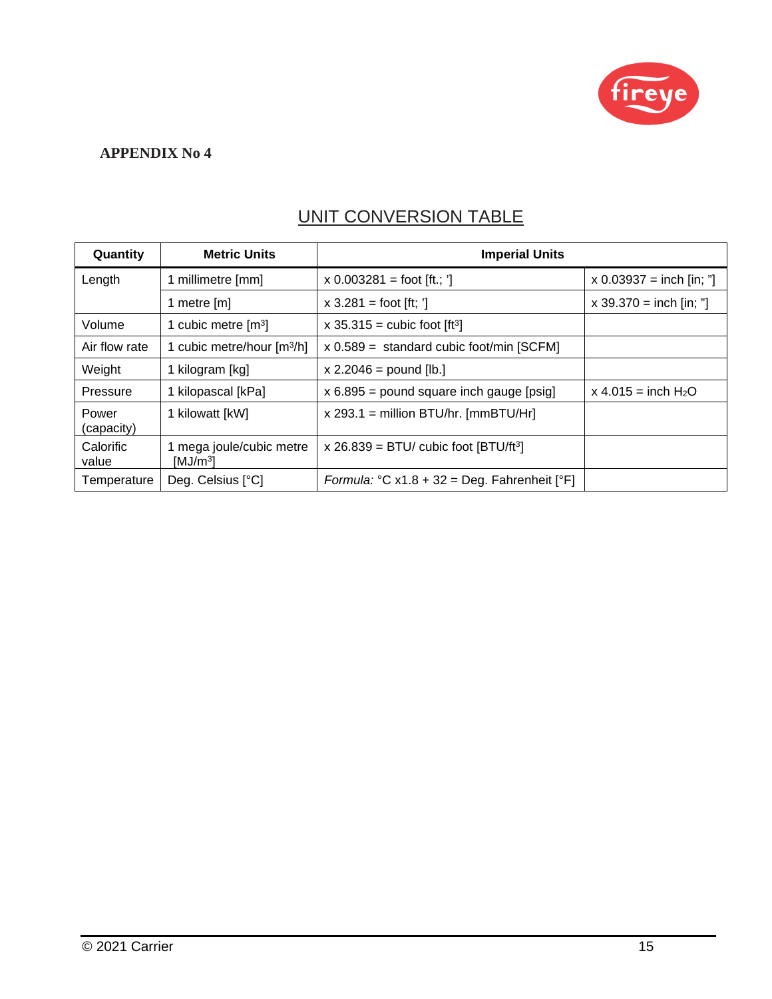

## UNIT CONVERSION TABLE

| Quantity            | <b>Metric Units</b>                              | <b>Imperial Units</b>                             |                            |
|---------------------|--------------------------------------------------|---------------------------------------------------|----------------------------|
| Length              | 1 millimetre [mm]                                | $x 0.003281 =$ foot [ft.; ']                      | $x 0.03937 =$ inch [in; "] |
|                     | 1 metre [m]                                      | $x 3.281 =$ foot [ft; ']                          | $x 39.370 =$ inch [in; "]  |
| Volume              | 1 cubic metre $[m3]$                             | x 35.315 = cubic foot $\lceil ft^3 \rceil$        |                            |
| Air flow rate       | 1 cubic metre/hour [m3/h]                        | $x 0.589 =$ standard cubic foot/min [SCFM]        |                            |
| Weight              | 1 kilogram [kg]                                  | $x 2.2046 =$ pound [lb.]                          |                            |
| Pressure            | 1 kilopascal [kPa]                               | $x 6.895$ = pound square inch gauge [psig]        | $x 4.015 = inch H2O$       |
| Power<br>(capacity) | 1 kilowatt [kW]                                  | $x$ 293.1 = million BTU/hr. [mmBTU/Hr]            |                            |
| Calorific<br>value  | 1 mega joule/cubic metre<br>[MJ/m <sup>3</sup> ] | x 26.839 = BTU/ cubic foot $[BTU/ft^3]$           |                            |
| Temperature         | Deg. Celsius [°C]                                | Formula: $°C x1.8 + 32 = Deg$ . Fahrenheit $[°F]$ |                            |